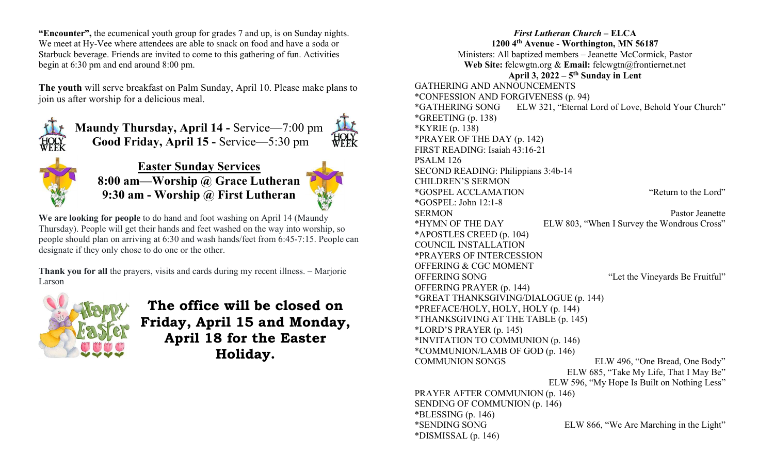"Encounter", the ecumenical youth group for grades 7 and up, is on Sunday nights. We meet at Hy-Vee where attendees are able to snack on food and have a soda or Starbuck beverage. Friends are invited to come to this gathering of fun. Activities begin at 6:30 pm and end around 8:00 pm.

The youth will serve breakfast on Palm Sunday, April 10. Please make plans to join us after worship for a delicious meal.



Maundy Thursday, April 14 - Service—7:00 pm Good Friday, April 15 - Service—5:30 pm HOLY<br>WEEK



Easter Sunday Services 8:00 am—Worship @ Grace Lutheran 9:30 am - Worship @ First Lutheran

We are looking for people to do hand and foot washing on April 14 (Maundy Thursday). People will get their hands and feet washed on the way into worship, so people should plan on arriving at 6:30 and wash hands/feet from 6:45-7:15. People can designate if they only chose to do one or the other.

Thank you for all the prayers, visits and cards during my recent illness. – Marjorie Larson



The office will be closed on Friday, April 15 and Monday, April 18 for the Easter Holiday.

First Lutheran Church – ELCA 1200 4th Avenue - Worthington, MN 56187 Ministers: All baptized members – Jeanette McCormick, Pastor Web Site: felcwgtn.org & Email: felcwgtn@frontiernet.net April 3,  $2022 - 5$ <sup>th</sup> Sunday in Lent GATHERING AND ANNOUNCEMENTS \*CONFESSION AND FORGIVENESS (p. 94) \*GATHERING SONG ELW 321, "Eternal Lord of Love, Behold Your Church" \*GREETING (p. 138) \*KYRIE (p. 138) \*PRAYER OF THE DAY (p. 142) FIRST READING: Isaiah 43:16-21 PSALM 126 SECOND READING: Philippians 3:4b-14 CHILDREN'S SERMON \*GOSPEL ACCLAMATION "Return to the Lord" \*GOSPEL: John 12:1-8 SERMON Pastor Jeanette \*HYMN OF THE DAY ELW 803, "When I Survey the Wondrous Cross" \*APOSTLES CREED (p. 104) COUNCIL INSTALLATION \*PRAYERS OF INTERCESSION OFFERING & CGC MOMENT OFFERING SONG "Let the Vineyards Be Fruitful" OFFERING PRAYER (p. 144) \*GREAT THANKSGIVING/DIALOGUE (p. 144) \*PREFACE/HOLY, HOLY, HOLY (p. 144) \*THANKSGIVING AT THE TABLE (p. 145) \*LORD'S PRAYER (p. 145) \*INVITATION TO COMMUNION (p. 146) \*COMMUNION/LAMB OF GOD (p. 146) COMMUNION SONGS ELW 496, "One Bread, One Body" ELW 685, "Take My Life, That I May Be" ELW 596, "My Hope Is Built on Nothing Less" PRAYER AFTER COMMUNION (p. 146) SENDING OF COMMUNION (p. 146)  $*BLESSING (p. 146)$ \*SENDING SONG ELW 866, "We Are Marching in the Light" \*DISMISSAL (p. 146)